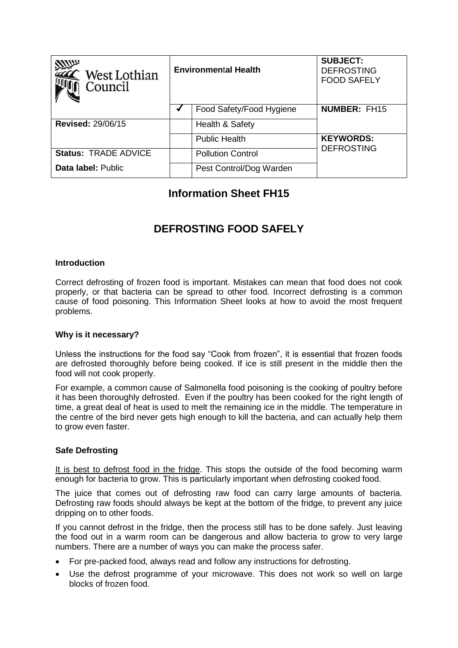| <b>ZZATA</b><br>West Lothian<br>Council | <b>Environmental Health</b> |                          | <b>SUBJECT:</b><br><b>DEFROSTING</b><br><b>FOOD SAFELY</b> |
|-----------------------------------------|-----------------------------|--------------------------|------------------------------------------------------------|
|                                         |                             | Food Safety/Food Hygiene | <b>NUMBER: FH15</b>                                        |
| <b>Revised: 29/06/15</b>                |                             | Health & Safety          |                                                            |
|                                         |                             | <b>Public Health</b>     | <b>KEYWORDS:</b>                                           |
| <b>Status: TRADE ADVICE</b>             |                             | <b>Pollution Control</b> | <b>DEFROSTING</b>                                          |
| Data label: Public                      |                             | Pest Control/Dog Warden  |                                                            |

## **Information Sheet FH15**

# **DEFROSTING FOOD SAFELY**

### **Introduction**

Correct defrosting of frozen food is important. Mistakes can mean that food does not cook properly, or that bacteria can be spread to other food. Incorrect defrosting is a common cause of food poisoning. This Information Sheet looks at how to avoid the most frequent problems.

#### **Why is it necessary?**

Unless the instructions for the food say "Cook from frozen", it is essential that frozen foods are defrosted thoroughly before being cooked. If ice is still present in the middle then the food will not cook properly.

For example, a common cause of Salmonella food poisoning is the cooking of poultry before it has been thoroughly defrosted. Even if the poultry has been cooked for the right length of time, a great deal of heat is used to melt the remaining ice in the middle. The temperature in the centre of the bird never gets high enough to kill the bacteria, and can actually help them to grow even faster.

### **Safe Defrosting**

It is best to defrost food in the fridge. This stops the outside of the food becoming warm enough for bacteria to grow. This is particularly important when defrosting cooked food.

The juice that comes out of defrosting raw food can carry large amounts of bacteria. Defrosting raw foods should always be kept at the bottom of the fridge, to prevent any juice dripping on to other foods.

If you cannot defrost in the fridge, then the process still has to be done safely. Just leaving the food out in a warm room can be dangerous and allow bacteria to grow to very large numbers. There are a number of ways you can make the process safer.

- For pre-packed food, always read and follow any instructions for defrosting.
- Use the defrost programme of your microwave. This does not work so well on large blocks of frozen food.